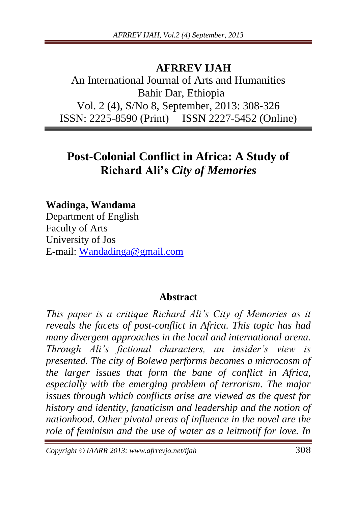## **AFRREV IJAH**

An International Journal of Arts and Humanities Bahir Dar, Ethiopia Vol. 2 (4), S/No 8, September, 2013: 308-326 ISSN: 2225-8590 (Print) ISSN 2227-5452 (Online)

# **Post-Colonial Conflict in Africa: A Study of Richard Ali's** *City of Memories*

**Wadinga, Wandama** 

Department of English Faculty of Arts University of Jos E-mail: [Wandadinga@gmail.com](mailto:Wandadinga@gmail.com)

#### **Abstract**

*This paper is a critique Richard Ali"s City of Memories as it reveals the facets of post-conflict in Africa. This topic has had many divergent approaches in the local and international arena. Through Ali"s fictional characters, an insider"s view is presented. The city of Bolewa performs becomes a microcosm of the larger issues that form the bane of conflict in Africa, especially with the emerging problem of terrorism. The major issues through which conflicts arise are viewed as the quest for history and identity, fanaticism and leadership and the notion of nationhood. Other pivotal areas of influence in the novel are the role of feminism and the use of water as a leitmotif for love. In* 

*Copyright © IAARR 2013: www.afrrevjo.net/ijah* 308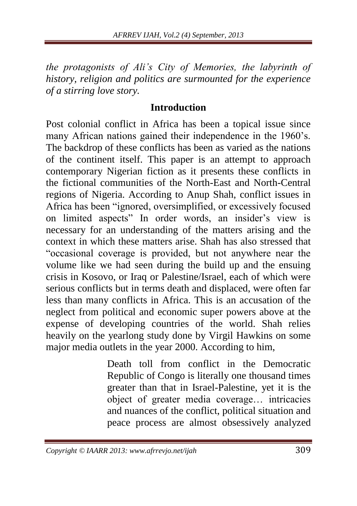*the protagonists of Ali"s City of Memories, the labyrinth of history, religion and politics are surmounted for the experience of a stirring love story.*

#### **Introduction**

Post colonial conflict in Africa has been a topical issue since many African nations gained their independence in the 1960's. The backdrop of these conflicts has been as varied as the nations of the continent itself. This paper is an attempt to approach contemporary Nigerian fiction as it presents these conflicts in the fictional communities of the North-East and North-Central regions of Nigeria. According to Anup Shah, conflict issues in Africa has been "ignored, oversimplified, or excessively focused on limited aspects" In order words, an insider's view is necessary for an understanding of the matters arising and the context in which these matters arise. Shah has also stressed that "occasional coverage is provided, but not anywhere near the volume like we had seen during the build up and the ensuing crisis in Kosovo, or Iraq or Palestine/Israel, each of which were serious conflicts but in terms death and displaced, were often far less than many conflicts in Africa. This is an accusation of the neglect from political and economic super powers above at the expense of developing countries of the world. Shah relies heavily on the yearlong study done by Virgil Hawkins on some major media outlets in the year 2000. According to him,

> Death toll from conflict in the Democratic Republic of Congo is literally one thousand times greater than that in Israel-Palestine, yet it is the object of greater media coverage… intricacies and nuances of the conflict, political situation and peace process are almost obsessively analyzed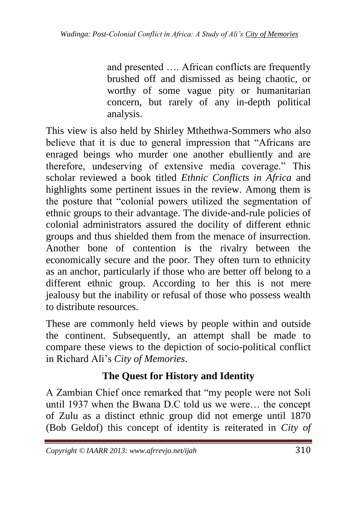and presented …. African conflicts are frequently brushed off and dismissed as being chaotic, or worthy of some vague pity or humanitarian concern, but rarely of any in-depth political analysis.

This view is also held by Shirley Mthethwa-Sommers who also believe that it is due to general impression that "Africans are enraged beings who murder one another ebulliently and are therefore, undeserving of extensive media coverage." This scholar reviewed a book titled *Ethnic Conflicts in Africa* and highlights some pertinent issues in the review. Among them is the posture that "colonial powers utilized the segmentation of ethnic groups to their advantage. The divide-and-rule policies of colonial administrators assured the docility of different ethnic groups and thus shielded them from the menace of insurrection. Another bone of contention is the rivalry between the economically secure and the poor. They often turn to ethnicity as an anchor, particularly if those who are better off belong to a different ethnic group. According to her this is not mere jealousy but the inability or refusal of those who possess wealth to distribute resources.

These are commonly held views by people within and outside the continent. Subsequently, an attempt shall be made to compare these views to the depiction of socio-political conflict in Richard Ali's *City of Memories*.

# **The Quest for History and Identity**

A Zambian Chief once remarked that "my people were not Soli until 1937 when the Bwana D.C told us we were… the concept of Zulu as a distinct ethnic group did not emerge until 1870 (Bob Geldof) this concept of identity is reiterated in *City of*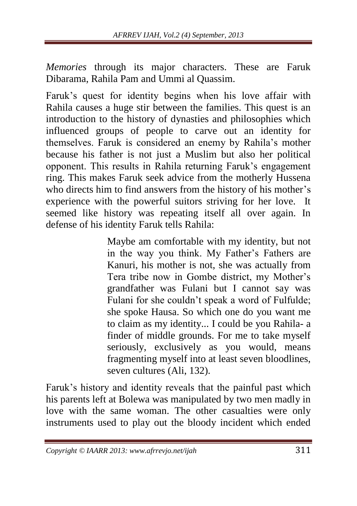*Memories* through its major characters. These are Faruk Dibarama, Rahila Pam and Ummi al Quassim.

Faruk's quest for identity begins when his love affair with Rahila causes a huge stir between the families. This quest is an introduction to the history of dynasties and philosophies which influenced groups of people to carve out an identity for themselves. Faruk is considered an enemy by Rahila's mother because his father is not just a Muslim but also her political opponent. This results in Rahila returning Faruk's engagement ring. This makes Faruk seek advice from the motherly Hussena who directs him to find answers from the history of his mother's experience with the powerful suitors striving for her love. It seemed like history was repeating itself all over again. In defense of his identity Faruk tells Rahila:

> Maybe am comfortable with my identity, but not in the way you think. My Father's Fathers are Kanuri, his mother is not, she was actually from Tera tribe now in Gombe district, my Mother's grandfather was Fulani but I cannot say was Fulani for she couldn't speak a word of Fulfulde; she spoke Hausa. So which one do you want me to claim as my identity... I could be you Rahila- a finder of middle grounds. For me to take myself seriously, exclusively as you would, means fragmenting myself into at least seven bloodlines, seven cultures (Ali, 132).

Faruk's history and identity reveals that the painful past which his parents left at Bolewa was manipulated by two men madly in love with the same woman. The other casualties were only instruments used to play out the bloody incident which ended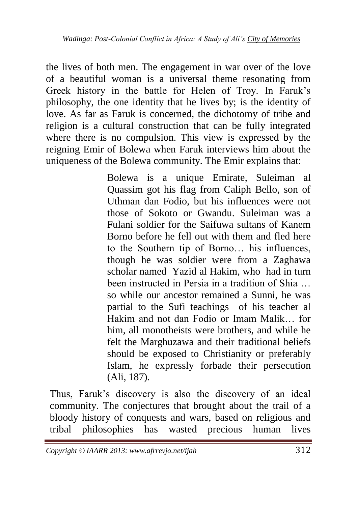the lives of both men. The engagement in war over of the love of a beautiful woman is a universal theme resonating from Greek history in the battle for Helen of Troy. In Faruk's philosophy, the one identity that he lives by; is the identity of love. As far as Faruk is concerned, the dichotomy of tribe and religion is a cultural construction that can be fully integrated where there is no compulsion. This view is expressed by the reigning Emir of Bolewa when Faruk interviews him about the uniqueness of the Bolewa community. The Emir explains that:

> Bolewa is a unique Emirate, Suleiman al Quassim got his flag from Caliph Bello, son of Uthman dan Fodio, but his influences were not those of Sokoto or Gwandu. Suleiman was a Fulani soldier for the Saifuwa sultans of Kanem Borno before he fell out with them and fled here to the Southern tip of Borno… his influences, though he was soldier were from a Zaghawa scholar named Yazid al Hakim, who had in turn been instructed in Persia in a tradition of Shia … so while our ancestor remained a Sunni, he was partial to the Sufi teachings of his teacher al Hakim and not dan Fodio or Imam Malik… for him, all monotheists were brothers, and while he felt the Marghuzawa and their traditional beliefs should be exposed to Christianity or preferably Islam, he expressly forbade their persecution (Ali, 187).

Thus, Faruk's discovery is also the discovery of an ideal community. The conjectures that brought about the trail of a bloody history of conquests and wars, based on religious and tribal philosophies has wasted precious human lives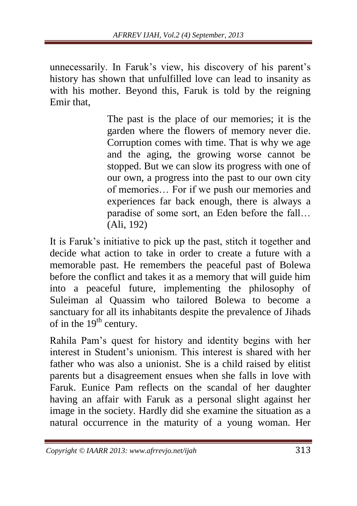unnecessarily. In Faruk's view, his discovery of his parent's history has shown that unfulfilled love can lead to insanity as with his mother. Beyond this, Faruk is told by the reigning Emir that,

> The past is the place of our memories; it is the garden where the flowers of memory never die. Corruption comes with time. That is why we age and the aging, the growing worse cannot be stopped. But we can slow its progress with one of our own, a progress into the past to our own city of memories… For if we push our memories and experiences far back enough, there is always a paradise of some sort, an Eden before the fall… (Ali, 192)

It is Faruk's initiative to pick up the past, stitch it together and decide what action to take in order to create a future with a memorable past. He remembers the peaceful past of Bolewa before the conflict and takes it as a memory that will guide him into a peaceful future, implementing the philosophy of Suleiman al Quassim who tailored Bolewa to become a sanctuary for all its inhabitants despite the prevalence of Jihads of in the  $19<sup>th</sup>$  century.

Rahila Pam's quest for history and identity begins with her interest in Student's unionism. This interest is shared with her father who was also a unionist. She is a child raised by elitist parents but a disagreement ensues when she falls in love with Faruk. Eunice Pam reflects on the scandal of her daughter having an affair with Faruk as a personal slight against her image in the society. Hardly did she examine the situation as a natural occurrence in the maturity of a young woman. Her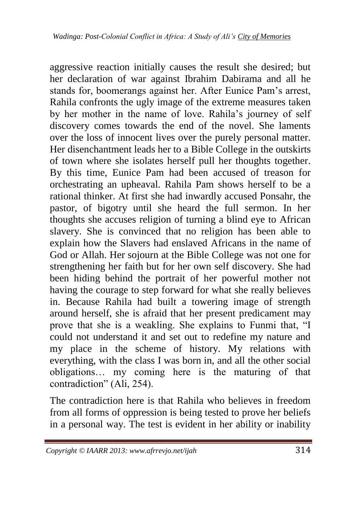aggressive reaction initially causes the result she desired; but her declaration of war against Ibrahim Dabirama and all he stands for, boomerangs against her. After Eunice Pam's arrest, Rahila confronts the ugly image of the extreme measures taken by her mother in the name of love. Rahila's journey of self discovery comes towards the end of the novel. She laments over the loss of innocent lives over the purely personal matter. Her disenchantment leads her to a Bible College in the outskirts of town where she isolates herself pull her thoughts together. By this time, Eunice Pam had been accused of treason for orchestrating an upheaval. Rahila Pam shows herself to be a rational thinker. At first she had inwardly accused Ponsahr, the pastor, of bigotry until she heard the full sermon. In her thoughts she accuses religion of turning a blind eye to African slavery. She is convinced that no religion has been able to explain how the Slavers had enslaved Africans in the name of God or Allah. Her sojourn at the Bible College was not one for strengthening her faith but for her own self discovery. She had been hiding behind the portrait of her powerful mother not having the courage to step forward for what she really believes in. Because Rahila had built a towering image of strength around herself, she is afraid that her present predicament may prove that she is a weakling. She explains to Funmi that, "I could not understand it and set out to redefine my nature and my place in the scheme of history. My relations with everything, with the class I was born in, and all the other social obligations… my coming here is the maturing of that contradiction" (Ali, 254).

The contradiction here is that Rahila who believes in freedom from all forms of oppression is being tested to prove her beliefs in a personal way. The test is evident in her ability or inability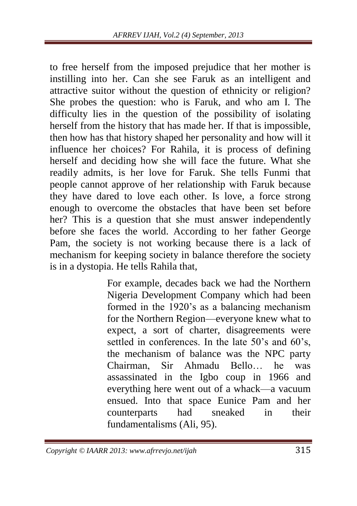to free herself from the imposed prejudice that her mother is instilling into her. Can she see Faruk as an intelligent and attractive suitor without the question of ethnicity or religion? She probes the question: who is Faruk, and who am I. The difficulty lies in the question of the possibility of isolating herself from the history that has made her. If that is impossible, then how has that history shaped her personality and how will it influence her choices? For Rahila, it is process of defining herself and deciding how she will face the future. What she readily admits, is her love for Faruk. She tells Funmi that people cannot approve of her relationship with Faruk because they have dared to love each other. Is love, a force strong enough to overcome the obstacles that have been set before her? This is a question that she must answer independently before she faces the world. According to her father George Pam, the society is not working because there is a lack of mechanism for keeping society in balance therefore the society is in a dystopia. He tells Rahila that,

> For example, decades back we had the Northern Nigeria Development Company which had been formed in the 1920's as a balancing mechanism for the Northern Region—everyone knew what to expect, a sort of charter, disagreements were settled in conferences. In the late 50's and 60's, the mechanism of balance was the NPC party Chairman, Sir Ahmadu Bello… he was assassinated in the Igbo coup in 1966 and everything here went out of a whack—a vacuum ensued. Into that space Eunice Pam and her counterparts had sneaked in their fundamentalisms (Ali, 95).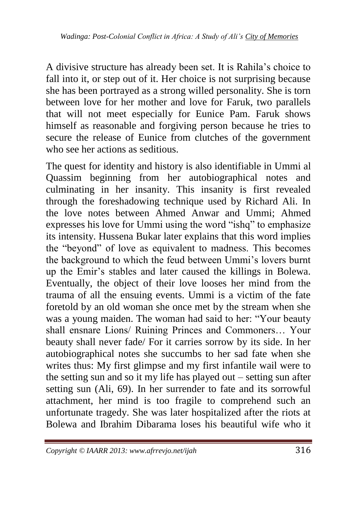A divisive structure has already been set. It is Rahila's choice to fall into it, or step out of it. Her choice is not surprising because she has been portrayed as a strong willed personality. She is torn between love for her mother and love for Faruk, two parallels that will not meet especially for Eunice Pam. Faruk shows himself as reasonable and forgiving person because he tries to secure the release of Eunice from clutches of the government who see her actions as seditious.

The quest for identity and history is also identifiable in Ummi al Quassim beginning from her autobiographical notes and culminating in her insanity. This insanity is first revealed through the foreshadowing technique used by Richard Ali. In the love notes between Ahmed Anwar and Ummi; Ahmed expresses his love for Ummi using the word "ishq" to emphasize its intensity. Hussena Bukar later explains that this word implies the "beyond" of love as equivalent to madness. This becomes the background to which the feud between Ummi's lovers burnt up the Emir's stables and later caused the killings in Bolewa. Eventually, the object of their love looses her mind from the trauma of all the ensuing events. Ummi is a victim of the fate foretold by an old woman she once met by the stream when she was a young maiden. The woman had said to her: "Your beauty shall ensnare Lions/ Ruining Princes and Commoners… Your beauty shall never fade/ For it carries sorrow by its side. In her autobiographical notes she succumbs to her sad fate when she writes thus: My first glimpse and my first infantile wail were to the setting sun and so it my life has played out – setting sun after setting sun (Ali, 69). In her surrender to fate and its sorrowful attachment, her mind is too fragile to comprehend such an unfortunate tragedy. She was later hospitalized after the riots at Bolewa and Ibrahim Dibarama loses his beautiful wife who it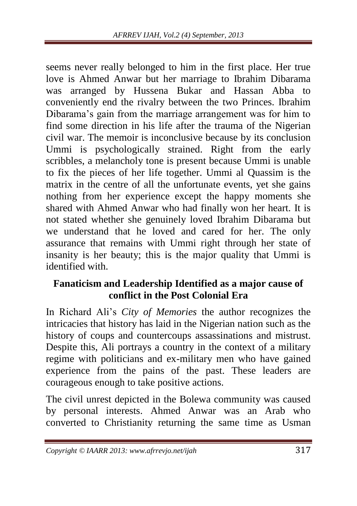seems never really belonged to him in the first place. Her true love is Ahmed Anwar but her marriage to Ibrahim Dibarama was arranged by Hussena Bukar and Hassan Abba to conveniently end the rivalry between the two Princes. Ibrahim Dibarama's gain from the marriage arrangement was for him to find some direction in his life after the trauma of the Nigerian civil war. The memoir is inconclusive because by its conclusion Ummi is psychologically strained. Right from the early scribbles, a melancholy tone is present because Ummi is unable to fix the pieces of her life together. Ummi al Quassim is the matrix in the centre of all the unfortunate events, yet she gains nothing from her experience except the happy moments she shared with Ahmed Anwar who had finally won her heart. It is not stated whether she genuinely loved Ibrahim Dibarama but we understand that he loved and cared for her. The only assurance that remains with Ummi right through her state of insanity is her beauty; this is the major quality that Ummi is identified with.

#### **Fanaticism and Leadership Identified as a major cause of conflict in the Post Colonial Era**

In Richard Ali's *City of Memories* the author recognizes the intricacies that history has laid in the Nigerian nation such as the history of coups and countercoups assassinations and mistrust. Despite this, Ali portrays a country in the context of a military regime with politicians and ex-military men who have gained experience from the pains of the past. These leaders are courageous enough to take positive actions.

The civil unrest depicted in the Bolewa community was caused by personal interests. Ahmed Anwar was an Arab who converted to Christianity returning the same time as Usman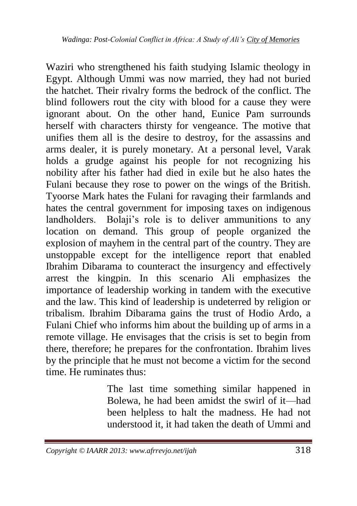Waziri who strengthened his faith studying Islamic theology in Egypt. Although Ummi was now married, they had not buried the hatchet. Their rivalry forms the bedrock of the conflict. The blind followers rout the city with blood for a cause they were ignorant about. On the other hand, Eunice Pam surrounds herself with characters thirsty for vengeance. The motive that unifies them all is the desire to destroy, for the assassins and arms dealer, it is purely monetary. At a personal level, Varak holds a grudge against his people for not recognizing his nobility after his father had died in exile but he also hates the Fulani because they rose to power on the wings of the British. Tyoorse Mark hates the Fulani for ravaging their farmlands and hates the central government for imposing taxes on indigenous landholders. Bolaji's role is to deliver ammunitions to any location on demand. This group of people organized the explosion of mayhem in the central part of the country. They are unstoppable except for the intelligence report that enabled Ibrahim Dibarama to counteract the insurgency and effectively arrest the kingpin. In this scenario Ali emphasizes the importance of leadership working in tandem with the executive and the law. This kind of leadership is undeterred by religion or tribalism. Ibrahim Dibarama gains the trust of Hodio Ardo, a Fulani Chief who informs him about the building up of arms in a remote village. He envisages that the crisis is set to begin from there, therefore; he prepares for the confrontation. Ibrahim lives by the principle that he must not become a victim for the second time. He ruminates thus:

> The last time something similar happened in Bolewa, he had been amidst the swirl of it—had been helpless to halt the madness. He had not understood it, it had taken the death of Ummi and

*Copyright © IAARR 2013: www.afrrevjo.net/ijah* 318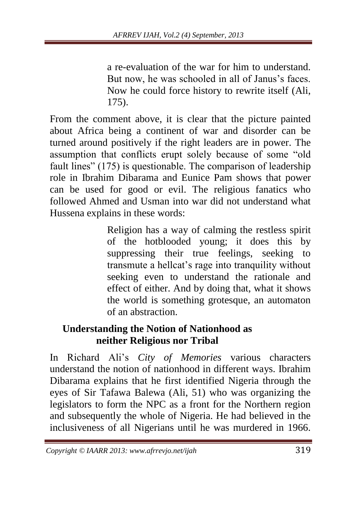a re-evaluation of the war for him to understand. But now, he was schooled in all of Janus's faces. Now he could force history to rewrite itself (Ali, 175).

From the comment above, it is clear that the picture painted about Africa being a continent of war and disorder can be turned around positively if the right leaders are in power. The assumption that conflicts erupt solely because of some "old fault lines" (175) is questionable. The comparison of leadership role in Ibrahim Dibarama and Eunice Pam shows that power can be used for good or evil. The religious fanatics who followed Ahmed and Usman into war did not understand what Hussena explains in these words:

> Religion has a way of calming the restless spirit of the hotblooded young; it does this by suppressing their true feelings, seeking to transmute a hellcat's rage into tranquility without seeking even to understand the rationale and effect of either. And by doing that, what it shows the world is something grotesque, an automaton of an abstraction.

### **Understanding the Notion of Nationhood as neither Religious nor Tribal**

In Richard Ali's *City of Memories* various characters understand the notion of nationhood in different ways. Ibrahim Dibarama explains that he first identified Nigeria through the eyes of Sir Tafawa Balewa (Ali, 51) who was organizing the legislators to form the NPC as a front for the Northern region and subsequently the whole of Nigeria. He had believed in the inclusiveness of all Nigerians until he was murdered in 1966.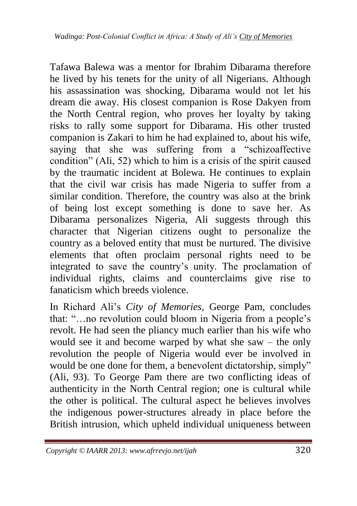Tafawa Balewa was a mentor for Ibrahim Dibarama therefore he lived by his tenets for the unity of all Nigerians. Although his assassination was shocking, Dibarama would not let his dream die away. His closest companion is Rose Dakyen from the North Central region, who proves her loyalty by taking risks to rally some support for Dibarama. His other trusted companion is Zakari to him he had explained to, about his wife, saying that she was suffering from a "schizoaffective condition" (Ali, 52) which to him is a crisis of the spirit caused by the traumatic incident at Bolewa. He continues to explain that the civil war crisis has made Nigeria to suffer from a similar condition. Therefore, the country was also at the brink of being lost except something is done to save her. As Dibarama personalizes Nigeria, Ali suggests through this character that Nigerian citizens ought to personalize the country as a beloved entity that must be nurtured. The divisive elements that often proclaim personal rights need to be integrated to save the country's unity. The proclamation of individual rights, claims and counterclaims give rise to fanaticism which breeds violence.

In Richard Ali's *City of Memories,* George Pam, concludes that: ―…no revolution could bloom in Nigeria from a people's revolt. He had seen the pliancy much earlier than his wife who would see it and become warped by what she saw – the only revolution the people of Nigeria would ever be involved in would be one done for them, a benevolent dictatorship, simply" (Ali, 93). To George Pam there are two conflicting ideas of authenticity in the North Central region; one is cultural while the other is political. The cultural aspect he believes involves the indigenous power-structures already in place before the British intrusion, which upheld individual uniqueness between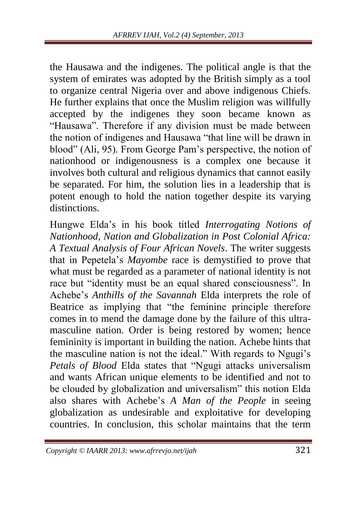the Hausawa and the indigenes. The political angle is that the system of emirates was adopted by the British simply as a tool to organize central Nigeria over and above indigenous Chiefs. He further explains that once the Muslim religion was willfully accepted by the indigenes they soon became known as "Hausawa". Therefore if any division must be made between the notion of indigenes and Hausawa "that line will be drawn in blood" (Ali, 95). From George Pam's perspective, the notion of nationhood or indigenousness is a complex one because it involves both cultural and religious dynamics that cannot easily be separated. For him, the solution lies in a leadership that is potent enough to hold the nation together despite its varying distinctions.

Hungwe Elda's in his book titled *Interrogating Notions of Nationhood, Nation and Globalization in Post Colonial Africa: A Textual Analysis of Four African Novels*. The writer suggests that in Pepetela's *Mayombe* race is demystified to prove that what must be regarded as a parameter of national identity is not race but "identity must be an equal shared consciousness". In Achebe's *Anthills of the Savannah* Elda interprets the role of Beatrice as implying that "the feminine principle therefore" comes in to mend the damage done by the failure of this ultramasculine nation. Order is being restored by women; hence femininity is important in building the nation. Achebe hints that the masculine nation is not the ideal." With regards to Ngugi's *Petals of Blood* Elda states that "Ngugi attacks universalism and wants African unique elements to be identified and not to be clouded by globalization and universalism" this notion Elda also shares with Achebe's *A Man of the People* in seeing globalization as undesirable and exploitative for developing countries. In conclusion, this scholar maintains that the term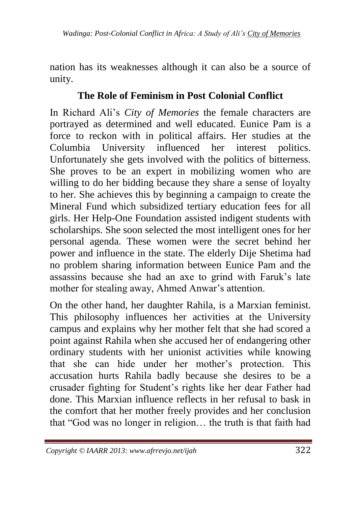nation has its weaknesses although it can also be a source of unity.

## **The Role of Feminism in Post Colonial Conflict**

In Richard Ali's *City of Memories* the female characters are portrayed as determined and well educated. Eunice Pam is a force to reckon with in political affairs. Her studies at the Columbia University influenced her interest politics. Unfortunately she gets involved with the politics of bitterness. She proves to be an expert in mobilizing women who are willing to do her bidding because they share a sense of loyalty to her. She achieves this by beginning a campaign to create the Mineral Fund which subsidized tertiary education fees for all girls. Her Help-One Foundation assisted indigent students with scholarships. She soon selected the most intelligent ones for her personal agenda. These women were the secret behind her power and influence in the state. The elderly Dije Shetima had no problem sharing information between Eunice Pam and the assassins because she had an axe to grind with Faruk's late mother for stealing away, Ahmed Anwar's attention.

On the other hand, her daughter Rahila, is a Marxian feminist. This philosophy influences her activities at the University campus and explains why her mother felt that she had scored a point against Rahila when she accused her of endangering other ordinary students with her unionist activities while knowing that she can hide under her mother's protection. This accusation hurts Rahila badly because she desires to be a crusader fighting for Student's rights like her dear Father had done. This Marxian influence reflects in her refusal to bask in the comfort that her mother freely provides and her conclusion that "God was no longer in religion... the truth is that faith had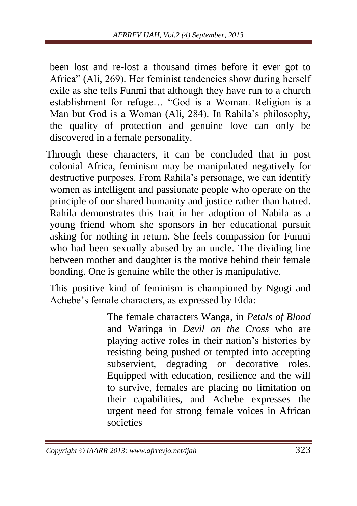been lost and re-lost a thousand times before it ever got to Africa" (Ali, 269). Her feminist tendencies show during herself exile as she tells Funmi that although they have run to a church establishment for refuge... "God is a Woman. Religion is a Man but God is a Woman (Ali, 284). In Rahila's philosophy, the quality of protection and genuine love can only be discovered in a female personality.

Through these characters, it can be concluded that in post colonial Africa, feminism may be manipulated negatively for destructive purposes. From Rahila's personage, we can identify women as intelligent and passionate people who operate on the principle of our shared humanity and justice rather than hatred. Rahila demonstrates this trait in her adoption of Nabila as a young friend whom she sponsors in her educational pursuit asking for nothing in return. She feels compassion for Funmi who had been sexually abused by an uncle. The dividing line between mother and daughter is the motive behind their female bonding. One is genuine while the other is manipulative.

This positive kind of feminism is championed by Ngugi and Achebe's female characters, as expressed by Elda:

> The female characters Wanga, in *Petals of Blood*  and Waringa in *Devil on the Cross* who are playing active roles in their nation's histories by resisting being pushed or tempted into accepting subservient, degrading or decorative roles. Equipped with education, resilience and the will to survive, females are placing no limitation on their capabilities, and Achebe expresses the urgent need for strong female voices in African societies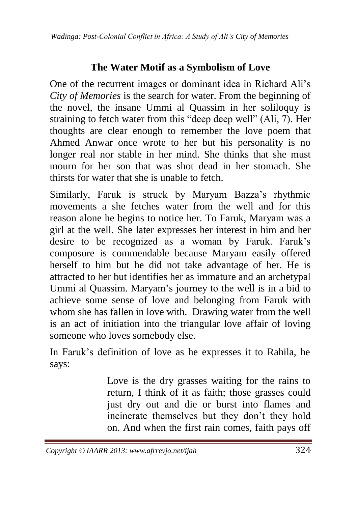### **The Water Motif as a Symbolism of Love**

One of the recurrent images or dominant idea in Richard Ali's *City of Memories* is the search for water. From the beginning of the novel, the insane Ummi al Quassim in her soliloquy is straining to fetch water from this "deep deep well" (Ali, 7). Her thoughts are clear enough to remember the love poem that Ahmed Anwar once wrote to her but his personality is no longer real nor stable in her mind. She thinks that she must mourn for her son that was shot dead in her stomach. She thirsts for water that she is unable to fetch.

Similarly, Faruk is struck by Maryam Bazza's rhythmic movements a she fetches water from the well and for this reason alone he begins to notice her. To Faruk, Maryam was a girl at the well. She later expresses her interest in him and her desire to be recognized as a woman by Faruk. Faruk's composure is commendable because Maryam easily offered herself to him but he did not take advantage of her. He is attracted to her but identifies her as immature and an archetypal Ummi al Quassim. Maryam's journey to the well is in a bid to achieve some sense of love and belonging from Faruk with whom she has fallen in love with. Drawing water from the well is an act of initiation into the triangular love affair of loving someone who loves somebody else.

In Faruk's definition of love as he expresses it to Rahila, he says:

> Love is the dry grasses waiting for the rains to return, I think of it as faith; those grasses could just dry out and die or burst into flames and incinerate themselves but they don't they hold on. And when the first rain comes, faith pays off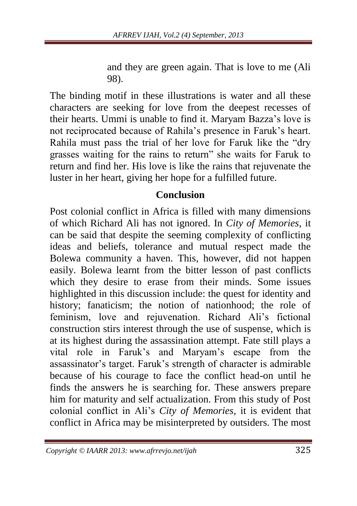and they are green again. That is love to me (Ali 98).

The binding motif in these illustrations is water and all these characters are seeking for love from the deepest recesses of their hearts. Ummi is unable to find it. Maryam Bazza's love is not reciprocated because of Rahila's presence in Faruk's heart. Rahila must pass the trial of her love for Faruk like the "dry grasses waiting for the rains to return" she waits for Faruk to return and find her. His love is like the rains that rejuvenate the luster in her heart, giving her hope for a fulfilled future.

#### **Conclusion**

Post colonial conflict in Africa is filled with many dimensions of which Richard Ali has not ignored. In *City of Memories,* it can be said that despite the seeming complexity of conflicting ideas and beliefs, tolerance and mutual respect made the Bolewa community a haven. This, however, did not happen easily. Bolewa learnt from the bitter lesson of past conflicts which they desire to erase from their minds. Some issues highlighted in this discussion include: the quest for identity and history; fanaticism; the notion of nationhood; the role of feminism, love and rejuvenation. Richard Ali's fictional construction stirs interest through the use of suspense, which is at its highest during the assassination attempt. Fate still plays a vital role in Faruk's and Maryam's escape from the assassinator's target. Faruk's strength of character is admirable because of his courage to face the conflict head-on until he finds the answers he is searching for. These answers prepare him for maturity and self actualization. From this study of Post colonial conflict in Ali's *City of Memories,* it is evident that conflict in Africa may be misinterpreted by outsiders. The most